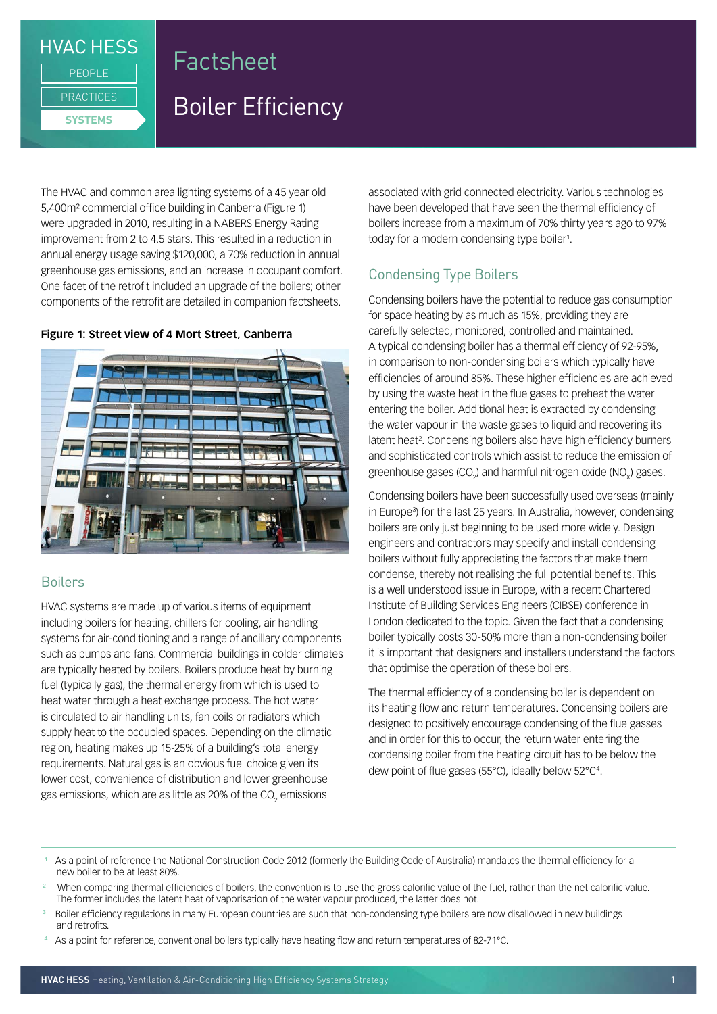## **HVAC HESS**

**PRACTICES SYSTEMS**

PEOPLE

# Factsheet

# Boiler Efficiency

The HVAC and common area lighting systems of a 45 year old 5,400m² commercial office building in Canberra (Figure 1) were upgraded in 2010, resulting in a NABERS Energy Rating improvement from 2 to 4.5 stars. This resulted in a reduction in annual energy usage saving \$120,000, a 70% reduction in annual greenhouse gas emissions, and an increase in occupant comfort. One facet of the retrofit included an upgrade of the boilers; other components of the retrofit are detailed in companion factsheets.

## **Figure 1: Street view of 4 Mort Street, Canberra**



## Boilers

HVAC systems are made up of various items of equipment including boilers for heating, chillers for cooling, air handling systems for air-conditioning and a range of ancillary components such as pumps and fans. Commercial buildings in colder climates are typically heated by boilers. Boilers produce heat by burning fuel (typically gas), the thermal energy from which is used to heat water through a heat exchange process. The hot water is circulated to air handling units, fan coils or radiators which supply heat to the occupied spaces. Depending on the climatic region, heating makes up 15-25% of a building's total energy requirements. Natural gas is an obvious fuel choice given its lower cost, convenience of distribution and lower greenhouse gas emissions, which are as little as 20% of the CO $_{\tiny 2}$  emissions

associated with grid connected electricity. Various technologies have been developed that have seen the thermal efficiency of boilers increase from a maximum of 70% thirty years ago to 97% today for a modern condensing type boiler<sup>1</sup>.

## Condensing Type Boilers

Condensing boilers have the potential to reduce gas consumption for space heating by as much as 15%, providing they are carefully selected, monitored, controlled and maintained. A typical condensing boiler has a thermal efficiency of 92-95%, in comparison to non-condensing boilers which typically have efficiencies of around 85%. These higher efficiencies are achieved by using the waste heat in the flue gases to preheat the water entering the boiler. Additional heat is extracted by condensing the water vapour in the waste gases to liquid and recovering its latent heat<sup>2</sup>. Condensing boilers also have high efficiency burners and sophisticated controls which assist to reduce the emission of greenhouse gases (CO<sub>2</sub>) and harmful nitrogen oxide (NO<sub>x</sub>) gases.

Condensing boilers have been successfully used overseas (mainly in Europe3 ) for the last 25 years. In Australia, however, condensing boilers are only just beginning to be used more widely. Design engineers and contractors may specify and install condensing boilers without fully appreciating the factors that make them condense, thereby not realising the full potential benefits. This is a well understood issue in Europe, with a recent Chartered Institute of Building Services Engineers (CIBSE) conference in London dedicated to the topic. Given the fact that a condensing boiler typically costs 30-50% more than a non-condensing boiler it is important that designers and installers understand the factors that optimise the operation of these boilers.

The thermal efficiency of a condensing boiler is dependent on its heating flow and return temperatures. Condensing boilers are designed to positively encourage condensing of the flue gasses and in order for this to occur, the return water entering the condensing boiler from the heating circuit has to be below the dew point of flue gases (55°C), ideally below 52°C4 .

- **<sup>1</sup>** As a point of reference the National Construction Code 2012 (formerly the Building Code of Australia) mandates the thermal efficiency for a new boiler to be at least 80%.
- **<sup>2</sup>** When comparing thermal efficiencies of boilers, the convention is to use the gross calorific value of the fuel, rather than the net calorific value. The former includes the latent heat of vaporisation of the water vapour produced, the latter does not.
- **<sup>3</sup>** Boiler efficiency regulations in many European countries are such that non-condensing type boilers are now disallowed in new buildings and retrofits.
- **4** As a point for reference, conventional boilers typically have heating flow and return temperatures of 82-71°C.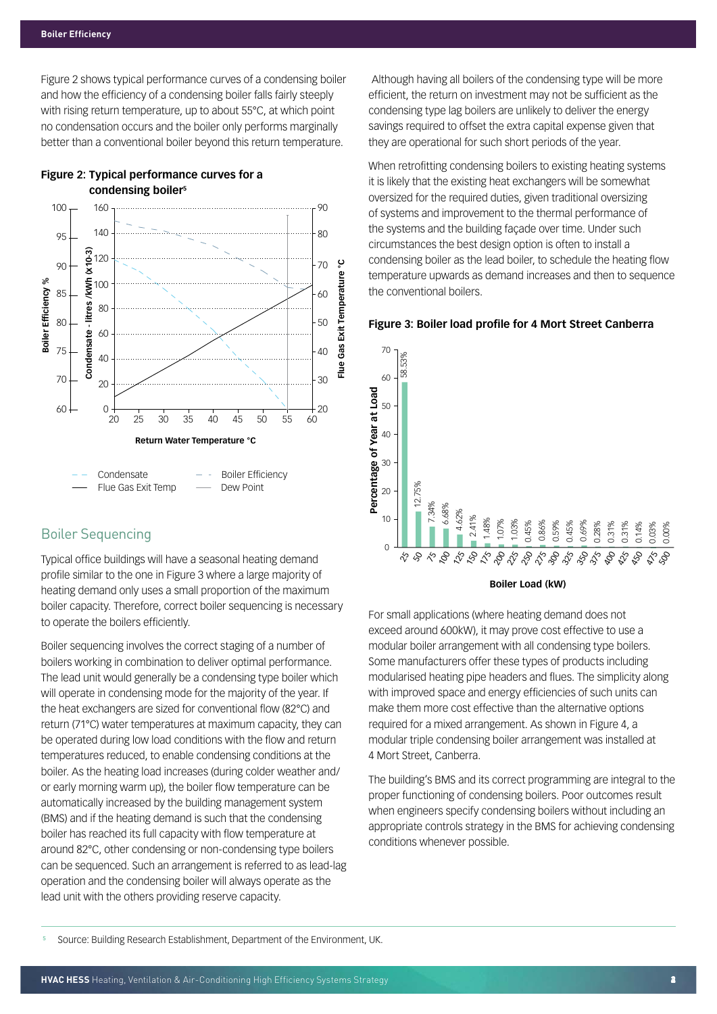Figure 2 shows typical performance curves of a condensing boiler and how the efficiency of a condensing boiler falls fairly steeply with rising return temperature, up to about 55°C, at which point no condensation occurs and the boiler only performs marginally better than a conventional boiler beyond this return temperature.





## Boiler Sequencing

Flue Gas Exit Temp

Typical office buildings will have a seasonal heating demand profile similar to the one in Figure 3 where a large majority of heating demand only uses a small proportion of the maximum boiler capacity. Therefore, correct boiler sequencing is necessary to operate the boilers efficiently.

Dew Point

Boiler sequencing involves the correct staging of a number of boilers working in combination to deliver optimal performance. The lead unit would generally be a condensing type boiler which will operate in condensing mode for the majority of the year. If the heat exchangers are sized for conventional flow (82°C) and return (71°C) water temperatures at maximum capacity, they can be operated during low load conditions with the flow and return temperatures reduced, to enable condensing conditions at the boiler. As the heating load increases (during colder weather and/ or early morning warm up), the boiler flow temperature can be automatically increased by the building management system (BMS) and if the heating demand is such that the condensing boiler has reached its full capacity with flow temperature at around 82°C, other condensing or non-condensing type boilers can be sequenced. Such an arrangement is referred to as lead-lag operation and the condensing boiler will always operate as the lead unit with the others providing reserve capacity.

Although having all boilers of the condensing type will be more efficient, the return on investment may not be sufficient as the condensing type lag boilers are unlikely to deliver the energy savings required to offset the extra capital expense given that they are operational for such short periods of the year.

When retrofitting condensing boilers to existing heating systems it is likely that the existing heat exchangers will be somewhat oversized for the required duties, given traditional oversizing of systems and improvement to the thermal performance of the systems and the building façade over time. Under such circumstances the best design option is often to install a condensing boiler as the lead boiler, to schedule the heating flow temperature upwards as demand increases and then to sequence the conventional boilers.

#### **Figure 3: Boiler load profile for 4 Mort Street Canberra**



#### **Boiler Load (kW)**

For small applications (where heating demand does not exceed around 600kW), it may prove cost effective to use a modular boiler arrangement with all condensing type boilers. Some manufacturers offer these types of products including modularised heating pipe headers and flues. The simplicity along with improved space and energy efficiencies of such units can make them more cost effective than the alternative options required for a mixed arrangement. As shown in Figure 4, a modular triple condensing boiler arrangement was installed at 4 Mort Street, Canberra.

The building's BMS and its correct programming are integral to the proper functioning of condensing boilers. Poor outcomes result when engineers specify condensing boilers without including an appropriate controls strategy in the BMS for achieving condensing conditions whenever possible.

 **5** Source: Building Research Establishment, Department of the Environment, UK.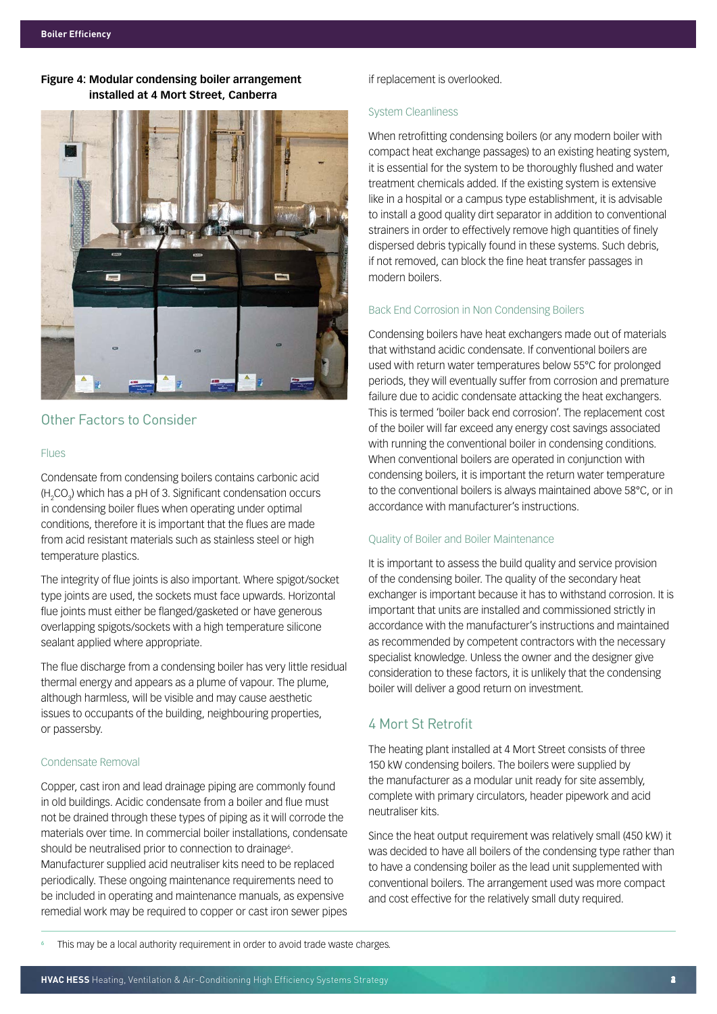## **Figure 4: Modular condensing boiler arrangement installed at 4 Mort Street, Canberra**



## Other Factors to Consider

#### Flues

Condensate from condensing boilers contains carbonic acid (H<sub>2</sub>CO<sub>3</sub>) which has a pH of 3. Significant condensation occurs in condensing boiler flues when operating under optimal conditions, therefore it is important that the flues are made from acid resistant materials such as stainless steel or high temperature plastics.

The integrity of flue joints is also important. Where spigot/socket type joints are used, the sockets must face upwards. Horizontal flue joints must either be flanged/gasketed or have generous overlapping spigots/sockets with a high temperature silicone sealant applied where appropriate.

The flue discharge from a condensing boiler has very little residual thermal energy and appears as a plume of vapour. The plume, although harmless, will be visible and may cause aesthetic issues to occupants of the building, neighbouring properties, or passersby.

### Condensate Removal

Copper, cast iron and lead drainage piping are commonly found in old buildings. Acidic condensate from a boiler and flue must not be drained through these types of piping as it will corrode the materials over time. In commercial boiler installations, condensate should be neutralised prior to connection to drainage<sup>6</sup>. Manufacturer supplied acid neutraliser kits need to be replaced periodically. These ongoing maintenance requirements need to be included in operating and maintenance manuals, as expensive remedial work may be required to copper or cast iron sewer pipes

### if replacement is overlooked.

#### System Cleanliness

When retrofitting condensing boilers (or any modern boiler with compact heat exchange passages) to an existing heating system, it is essential for the system to be thoroughly flushed and water treatment chemicals added. If the existing system is extensive like in a hospital or a campus type establishment, it is advisable to install a good quality dirt separator in addition to conventional strainers in order to effectively remove high quantities of finely dispersed debris typically found in these systems. Such debris, if not removed, can block the fine heat transfer passages in modern boilers.

### Back End Corrosion in Non Condensing Boilers

Condensing boilers have heat exchangers made out of materials that withstand acidic condensate. If conventional boilers are used with return water temperatures below 55°C for prolonged periods, they will eventually suffer from corrosion and premature failure due to acidic condensate attacking the heat exchangers. This is termed 'boiler back end corrosion'. The replacement cost of the boiler will far exceed any energy cost savings associated with running the conventional boiler in condensing conditions. When conventional boilers are operated in conjunction with condensing boilers, it is important the return water temperature to the conventional boilers is always maintained above 58°C, or in accordance with manufacturer's instructions.

#### Quality of Boiler and Boiler Maintenance

It is important to assess the build quality and service provision of the condensing boiler. The quality of the secondary heat exchanger is important because it has to withstand corrosion. It is important that units are installed and commissioned strictly in accordance with the manufacturer's instructions and maintained as recommended by competent contractors with the necessary specialist knowledge. Unless the owner and the designer give consideration to these factors, it is unlikely that the condensing boiler will deliver a good return on investment.

## 4 Mort St Retrofit

The heating plant installed at 4 Mort Street consists of three 150 kW condensing boilers. The boilers were supplied by the manufacturer as a modular unit ready for site assembly, complete with primary circulators, header pipework and acid neutraliser kits.

Since the heat output requirement was relatively small (450 kW) it was decided to have all boilers of the condensing type rather than to have a condensing boiler as the lead unit supplemented with conventional boilers. The arrangement used was more compact and cost effective for the relatively small duty required.

This may be a local authority requirement in order to avoid trade waste charges.